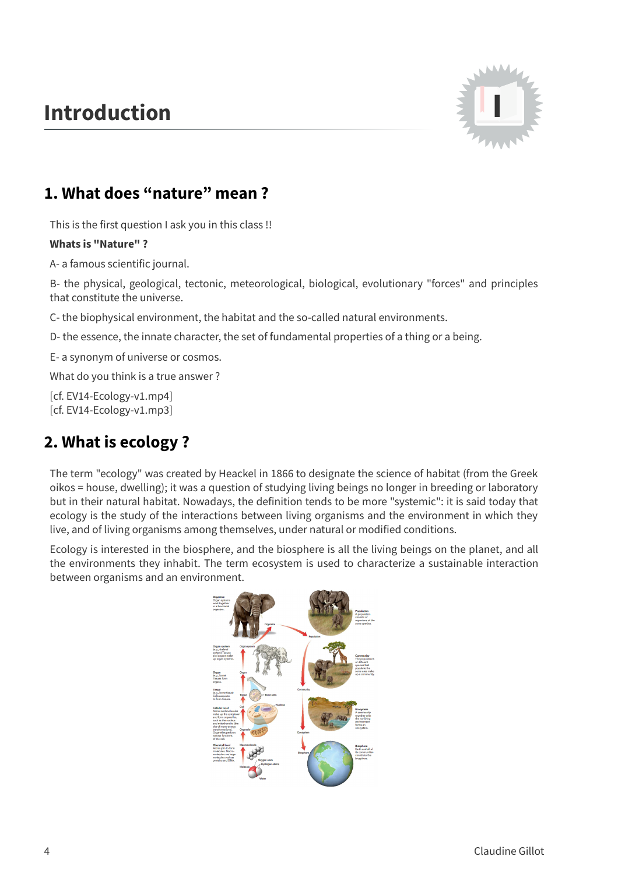## **Introduction I**



## **1. What does "nature" mean ?**

This is the first question I ask you in this class !!

## **Whats is "Nature" ?**

A- a famous scientific journal.

B- the physical, geological, tectonic, meteorological, biological, evolutionary "forces" and principles that constitute the universe.

C- the biophysical environment, the habitat and the so-called natural environments.

D- the essence, the innate character, the set of fundamental properties of a thing or a being.

E- a synonym of universe or cosmos.

What do you think is a true answer ?

[cf. EV14-Ecology-v1.mp4] [cf. EV14-Ecology-v1.mp3]

## **2. What is ecology ?**

The term "ecology" was created by Heackel in 1866 to designate the science of habitat (from the Greek oikos = house, dwelling); it was a question of studying living beings no longer in breeding or laboratory but in their natural habitat. Nowadays, the definition tends to be more "systemic": it is said today that ecology is the study of the interactions between living organisms and the environment in which they live, and of living organisms among themselves, under natural or modified conditions.

Ecology is interested in the biosphere, and the biosphere is all the living beings on the planet, and all the environments they inhabit. The term ecosystem is used to characterize a sustainable interaction between organisms and an environment.